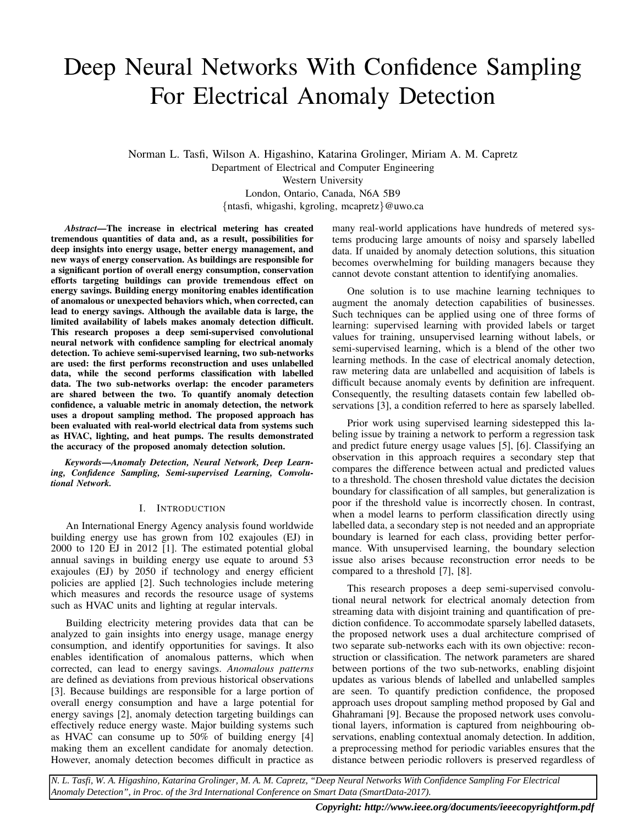# Deep Neural Networks With Confidence Sampling For Electrical Anomaly Detection

Norman L. Tasfi, Wilson A. Higashino, Katarina Grolinger, Miriam A. M. Capretz Department of Electrical and Computer Engineering Western University London, Ontario, Canada, N6A 5B9 *{*ntasfi, whigashi, kgroling, mcapretz*}*@uwo.ca

*Abstract*—The increase in electrical metering has created tremendous quantities of data and, as a result, possibilities for deep insights into energy usage, better energy management, and new ways of energy conservation. As buildings are responsible for a significant portion of overall energy consumption, conservation efforts targeting buildings can provide tremendous effect on energy savings. Building energy monitoring enables identification of anomalous or unexpected behaviors which, when corrected, can lead to energy savings. Although the available data is large, the limited availability of labels makes anomaly detection difficult. This research proposes a deep semi-supervised convolutional neural network with confidence sampling for electrical anomaly detection. To achieve semi-supervised learning, two sub-networks are used: the first performs reconstruction and uses unlabelled data, while the second performs classification with labelled data. The two sub-networks overlap: the encoder parameters are shared between the two. To quantify anomaly detection confidence, a valuable metric in anomaly detection, the network uses a dropout sampling method. The proposed approach has been evaluated with real-world electrical data from systems such as HVAC, lighting, and heat pumps. The results demonstrated the accuracy of the proposed anomaly detection solution.

*Keywords*—*Anomaly Detection, Neural Network, Deep Learning, Confidence Sampling, Semi-supervised Learning, Convolutional Network.*

## I. INTRODUCTION

An International Energy Agency analysis found worldwide building energy use has grown from 102 exajoules (EJ) in 2000 to 120 EJ in 2012 [1]. The estimated potential global annual savings in building energy use equate to around 53 exajoules (EJ) by 2050 if technology and energy efficient policies are applied [2]. Such technologies include metering which measures and records the resource usage of systems such as HVAC units and lighting at regular intervals.

Building electricity metering provides data that can be analyzed to gain insights into energy usage, manage energy consumption, and identify opportunities for savings. It also enables identification of anomalous patterns, which when corrected, can lead to energy savings. *Anomalous patterns* are defined as deviations from previous historical observations [3]. Because buildings are responsible for a large portion of overall energy consumption and have a large potential for energy savings [2], anomaly detection targeting buildings can effectively reduce energy waste. Major building systems such as HVAC can consume up to 50% of building energy [4] making them an excellent candidate for anomaly detection. However, anomaly detection becomes difficult in practice as many real-world applications have hundreds of metered systems producing large amounts of noisy and sparsely labelled data. If unaided by anomaly detection solutions, this situation becomes overwhelming for building managers because they cannot devote constant attention to identifying anomalies.

One solution is to use machine learning techniques to augment the anomaly detection capabilities of businesses. Such techniques can be applied using one of three forms of learning: supervised learning with provided labels or target values for training, unsupervised learning without labels, or semi-supervised learning, which is a blend of the other two learning methods. In the case of electrical anomaly detection, raw metering data are unlabelled and acquisition of labels is difficult because anomaly events by definition are infrequent. Consequently, the resulting datasets contain few labelled observations [3], a condition referred to here as sparsely labelled.

Prior work using supervised learning sidestepped this labeling issue by training a network to perform a regression task and predict future energy usage values [5], [6]. Classifying an observation in this approach requires a secondary step that compares the difference between actual and predicted values to a threshold. The chosen threshold value dictates the decision boundary for classification of all samples, but generalization is poor if the threshold value is incorrectly chosen. In contrast, when a model learns to perform classification directly using labelled data, a secondary step is not needed and an appropriate boundary is learned for each class, providing better performance. With unsupervised learning, the boundary selection issue also arises because reconstruction error needs to be compared to a threshold [7], [8].

This research proposes a deep semi-supervised convolutional neural network for electrical anomaly detection from streaming data with disjoint training and quantification of prediction confidence. To accommodate sparsely labelled datasets, the proposed network uses a dual architecture comprised of two separate sub-networks each with its own objective: reconstruction or classification. The network parameters are shared between portions of the two sub-networks, enabling disjoint updates as various blends of labelled and unlabelled samples are seen. To quantify prediction confidence, the proposed approach uses dropout sampling method proposed by Gal and Ghahramani [9]. Because the proposed network uses convolutional layers, information is captured from neighbouring observations, enabling contextual anomaly detection. In addition, a preprocessing method for periodic variables ensures that the distance between periodic rollovers is preserved regardless of

*N. L. Tasfi, W. A. Higashino, Katarina Grolinger, M. A. M. Capretz, "Deep Neural Networks With Confidence Sampling For Electrical Anomaly Detection", in Proc. of the 3rd International Conference on Smart Data (SmartData-2017).*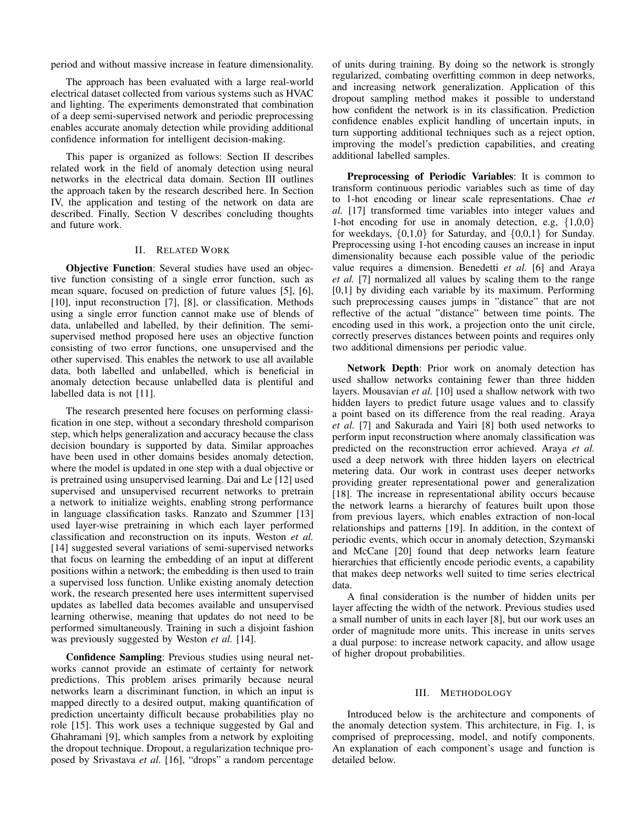period and without massive increase in feature dimensionality.

The approach has been evaluated with a large real-world electrical dataset collected from various systems such as HVAC and lighting. The experiments demonstrated that combination of a deep semi-supervised network and periodic preprocessing enables accurate anomaly detection while providing additional confidence information for intelligent decision-making.

This paper is organized as follows: Section II describes related work in the field of anomaly detection using neural networks in the electrical data domain. Section III outlines the approach taken by the research described here. In Section IV, the application and testing of the network on data are described. Finally, Section V describes concluding thoughts and future work.

## II. RELATED WORK

Objective Function: Several studies have used an objective function consisting of a single error function, such as mean square, focused on prediction of future values [5], [6], [10], input reconstruction [7], [8], or classification. Methods using a single error function cannot make use of blends of data, unlabelled and labelled, by their definition. The semisupervised method proposed here uses an objective function consisting of two error functions, one unsupervised and the other supervised. This enables the network to use all available data, both labelled and unlabelled, which is beneficial in anomaly detection because unlabelled data is plentiful and labelled data is not [11].

The research presented here focuses on performing classification in one step, without a secondary threshold comparison step, which helps generalization and accuracy because the class decision boundary is supported by data. Similar approaches have been used in other domains besides anomaly detection, where the model is updated in one step with a dual objective or is pretrained using unsupervised learning. Dai and Le [12] used supervised and unsupervised recurrent networks to pretrain a network to initialize weights, enabling strong performance in language classification tasks. Ranzato and Szummer [13] used layer-wise pretraining in which each layer performed classification and reconstruction on its inputs. Weston *et al.* [14] suggested several variations of semi-supervised networks that focus on learning the embedding of an input at different positions within a network; the embedding is then used to train a supervised loss function. Unlike existing anomaly detection work, the research presented here uses intermittent supervised updates as labelled data becomes available and unsupervised learning otherwise, meaning that updates do not need to be performed simultaneously. Training in such a disjoint fashion was previously suggested by Weston *et al.* [14].

Confidence Sampling: Previous studies using neural networks cannot provide an estimate of certainty for network predictions. This problem arises primarily because neural networks learn a discriminant function, in which an input is mapped directly to a desired output, making quantification of prediction uncertainty difficult because probabilities play no role [15]. This work uses a technique suggested by Gal and Ghahramani [9], which samples from a network by exploiting the dropout technique. Dropout, a regularization technique proposed by Srivastava *et al.* [16], "drops" a random percentage of units during training. By doing so the network is strongly regularized, combating overfitting common in deep networks, and increasing network generalization. Application of this dropout sampling method makes it possible to understand how confident the network is in its classification. Prediction confidence enables explicit handling of uncertain inputs, in turn supporting additional techniques such as a reject option, improving the model's prediction capabilities, and creating additional labelled samples.

Preprocessing of Periodic Variables: It is common to transform continuous periodic variables such as time of day to 1-hot encoding or linear scale representations. Chae *et al.* [17] transformed time variables into integer values and 1-hot encoding for use in anomaly detection, e.g, *{*1,0,0*}* for weekdays, *{*0,1,0*}* for Saturday, and *{*0,0,1*}* for Sunday. Preprocessing using 1-hot encoding causes an increase in input dimensionality because each possible value of the periodic value requires a dimension. Benedetti *et al.* [6] and Araya *et al.* [7] normalized all values by scaling them to the range [0,1] by dividing each variable by its maximum. Performing such preprocessing causes jumps in "distance" that are not reflective of the actual "distance" between time points. The encoding used in this work, a projection onto the unit circle, correctly preserves distances between points and requires only two additional dimensions per periodic value.

Network Depth: Prior work on anomaly detection has used shallow networks containing fewer than three hidden layers. Mousavian *et al.* [10] used a shallow network with two hidden layers to predict future usage values and to classify a point based on its difference from the real reading. Araya *et al.* [7] and Sakurada and Yairi [8] both used networks to perform input reconstruction where anomaly classification was predicted on the reconstruction error achieved. Araya *et al.* used a deep network with three hidden layers on electrical metering data. Our work in contrast uses deeper networks providing greater representational power and generalization [18]. The increase in representational ability occurs because the network learns a hierarchy of features built upon those from previous layers, which enables extraction of non-local relationships and patterns [19]. In addition, in the context of periodic events, which occur in anomaly detection, Szymanski and McCane [20] found that deep networks learn feature hierarchies that efficiently encode periodic events, a capability that makes deep networks well suited to time series electrical data.

A final consideration is the number of hidden units per layer affecting the width of the network. Previous studies used a small number of units in each layer [8], but our work uses an order of magnitude more units. This increase in units serves a dual purpose: to increase network capacity, and allow usage of higher dropout probabilities.

## III. METHODOLOGY

Introduced below is the architecture and components of the anomaly detection system. This architecture, in Fig. 1, is comprised of preprocessing, model, and notify components. An explanation of each component's usage and function is detailed below.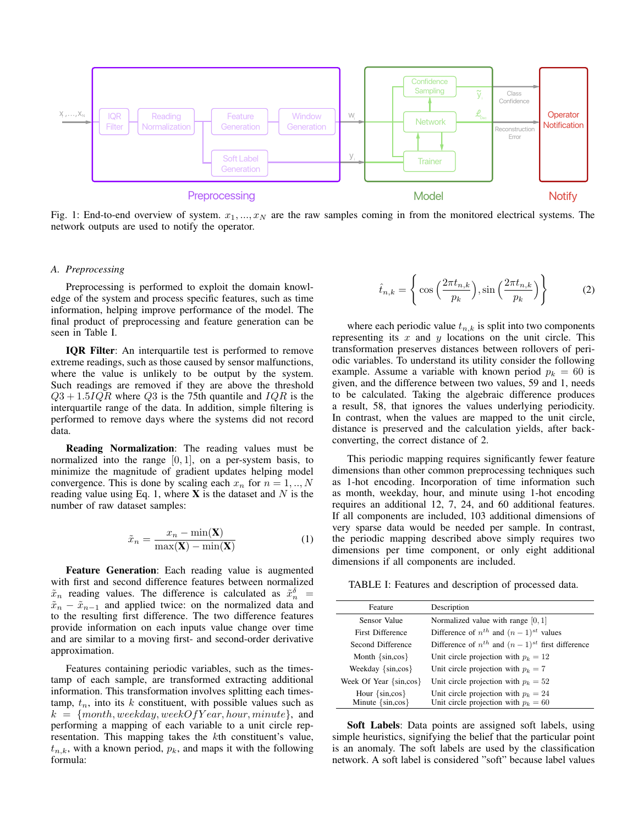

Fig. 1: End-to-end overview of system. *x*1*, ..., x<sup>N</sup>* are the raw samples coming in from the monitored electrical systems. The network outputs are used to notify the operator.

## *A. Preprocessing*

Preprocessing is performed to exploit the domain knowledge of the system and process specific features, such as time information, helping improve performance of the model. The final product of preprocessing and feature generation can be seen in Table I.

IQR Filter: An interquartile test is performed to remove extreme readings, such as those caused by sensor malfunctions, where the value is unlikely to be output by the system. Such readings are removed if they are above the threshold *Q*3+1*.*5*IQR* where *Q*3 is the 75th quantile and *IQR* is the interquartile range of the data. In addition, simple filtering is performed to remove days where the systems did not record data.

Reading Normalization: The reading values must be normalized into the range [0*,* 1], on a per-system basis, to minimize the magnitude of gradient updates helping model convergence. This is done by scaling each  $x_n$  for  $n = 1,..,N$ reading value using Eq. 1, where X is the dataset and *N* is the number of raw dataset samples:

$$
\tilde{x}_n = \frac{x_n - \min(\mathbf{X})}{\max(\mathbf{X}) - \min(\mathbf{X})}
$$
(1)

Feature Generation: Each reading value is augmented with first and second difference features between normalized  $\tilde{x}_n$  reading values. The difference is calculated as  $\tilde{x}_n^{\delta}$  =  $\tilde{x}_n - \tilde{x}_{n-1}$  and applied twice: on the normalized data and to the resulting first difference. The two difference features provide information on each inputs value change over time and are similar to a moving first- and second-order derivative approximation.

Features containing periodic variables, such as the timestamp of each sample, are transformed extracting additional information. This transformation involves splitting each timestamp, *tn*, into its *k* constituent, with possible values such as  $k = {month, weekday, weekOfYear, hour, minute}$ , and performing a mapping of each variable to a unit circle representation. This mapping takes the *k*th constituent's value,  $t_{n,k}$ , with a known period,  $p_k$ , and maps it with the following formula:

$$
\hat{t}_{n,k} = \left\{ \cos\left(\frac{2\pi t_{n,k}}{p_k}\right), \sin\left(\frac{2\pi t_{n,k}}{p_k}\right) \right\} \tag{2}
$$

where each periodic value  $t_{n,k}$  is split into two components representing its *x* and *y* locations on the unit circle. This transformation preserves distances between rollovers of periodic variables. To understand its utility consider the following example. Assume a variable with known period  $p_k = 60$  is given, and the difference between two values, 59 and 1, needs to be calculated. Taking the algebraic difference produces a result, 58, that ignores the values underlying periodicity. In contrast, when the values are mapped to the unit circle, distance is preserved and the calculation yields, after backconverting, the correct distance of 2.

This periodic mapping requires significantly fewer feature dimensions than other common preprocessing techniques such as 1-hot encoding. Incorporation of time information such as month, weekday, hour, and minute using 1-hot encoding requires an additional 12, 7, 24, and 60 additional features. If all components are included, 103 additional dimensions of very sparse data would be needed per sample. In contrast, the periodic mapping described above simply requires two dimensions per time component, or only eight additional dimensions if all components are included.

TABLE I: Features and description of processed data.

| Feature                                        | Description                                                                      |
|------------------------------------------------|----------------------------------------------------------------------------------|
| Sensor Value                                   | Normalized value with range $[0, 1]$                                             |
| <b>First Difference</b>                        | Difference of $n^{th}$ and $(n-1)^{st}$ values                                   |
| Second Difference                              | Difference of $n^{th}$ and $(n-1)^{st}$ first difference                         |
| Month $\{sin, cos\}$                           | Unit circle projection with $p_k = 12$                                           |
| Weekday $\{sin, cos\}$                         | Unit circle projection with $p_k = 7$                                            |
| Week Of Year $\{\sin, \cos\}$                  | Unit circle projection with $p_k = 52$                                           |
| Hour $\{\sin,\cos\}$<br>Minute $\{\sin,\cos\}$ | Unit circle projection with $p_k = 24$<br>Unit circle projection with $p_k = 60$ |

Soft Labels: Data points are assigned soft labels, using simple heuristics, signifying the belief that the particular point is an anomaly. The soft labels are used by the classification network. A soft label is considered "soft" because label values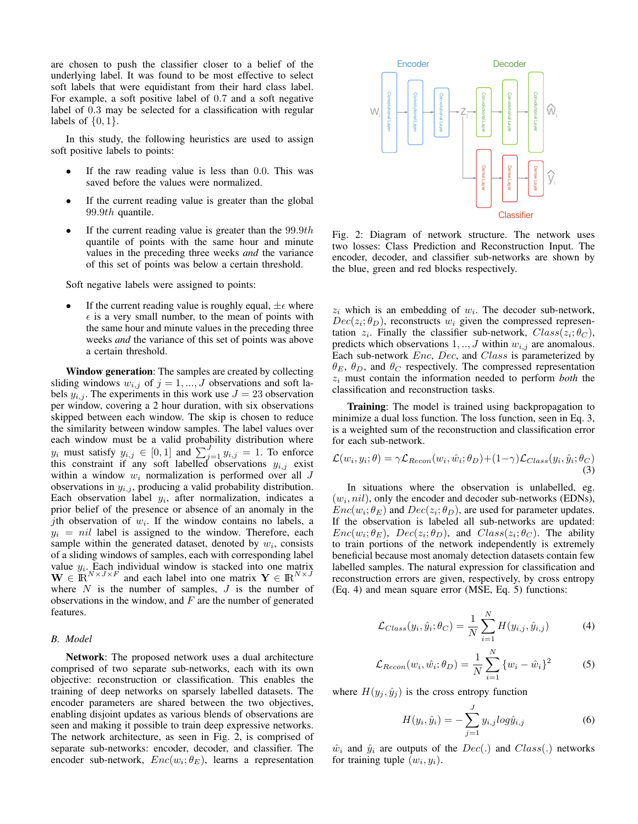are chosen to push the classifier closer to a belief of the underlying label. It was found to be most effective to select soft labels that were equidistant from their hard class label. For example, a soft positive label of 0*.*7 and a soft negative label of 0*.*3 may be selected for a classification with regular labels of *{*0*,* 1*}*.

In this study, the following heuristics are used to assign soft positive labels to points:

- *•* If the raw reading value is less than 0*.*0. This was saved before the values were normalized.
- If the current reading value is greater than the global 99*.*9*th* quantile.
- *•* If the current reading value is greater than the 99*.*9*th* quantile of points with the same hour and minute values in the preceding three weeks *and* the variance of this set of points was below a certain threshold.

Soft negative labels were assigned to points:

If the current reading value is roughly equal,  $\pm \epsilon$  where  $\epsilon$  is a very small number, to the mean of points with the same hour and minute values in the preceding three weeks *and* the variance of this set of points was above a certain threshold.

Window generation: The samples are created by collecting sliding windows  $w_{i,j}$  of  $j = 1, ..., J$  observations and soft labels  $y_{i,j}$ . The experiments in this work use  $J = 23$  observation per window, covering a 2 hour duration, with six observations skipped between each window. The skip is chosen to reduce the similarity between window samples. The label values over each window must be a valid probability distribution where *y*<sub>*i*</sub> must satisfy  $y_{i,j} \in [0,1]$  and  $\sum_{j=1}^{J} y_{i,j} = 1$ . To enforce this constraint if any soft labelled observations  $y_{i,j}$  exist within a window *w<sup>i</sup>* normalization is performed over all *J* observations in  $y_{i,j}$ , producing a valid probability distribution. Each observation label  $y_i$ , after normalization, indicates a prior belief of the presence or absence of an anomaly in the *j*th observation of  $w_i$ . If the window contains no labels, a  $y_i$  = *nil* label is assigned to the window. Therefore, each sample within the generated dataset, denoted by  $w_i$ , consists of a sliding windows of samples, each with corresponding label value  $y_i$ . Each individual window is stacked into one matrix  $\mathbf{W} \in \mathbb{R}^{N \times J \times F}$  and each label into one matrix  $\mathbf{Y} \in \mathbb{R}^{N \times J}$ where *N* is the number of samples, *J* is the number of observations in the window, and *F* are the number of generated features.

### *B. Model*

Network: The proposed network uses a dual architecture comprised of two separate sub-networks, each with its own objective: reconstruction or classification. This enables the training of deep networks on sparsely labelled datasets. The encoder parameters are shared between the two objectives, enabling disjoint updates as various blends of observations are seen and making it possible to train deep expressive networks. The network architecture, as seen in Fig. 2, is comprised of separate sub-networks: encoder, decoder, and classifier. The encoder sub-network,  $Enc(w_i; \theta_E)$ , learns a representation



Fig. 2: Diagram of network structure. The network uses two losses: Class Prediction and Reconstruction Input. The encoder, decoder, and classifier sub-networks are shown by the blue, green and red blocks respectively.

*z<sup>i</sup>* which is an embedding of *wi*. The decoder sub-network,  $Dec(z_i; \theta_D)$ , reconstructs  $w_i$  given the compressed representation  $z_i$ . Finally the classifier sub-network,  $Class(z_i; \theta_C)$ , predicts which observations  $1, \ldots, J$  within  $w_{i,j}$  are anomalous. Each sub-network *Enc*, *Dec*, and *Class* is parameterized by  $\theta_E$ ,  $\theta_D$ , and  $\theta_C$  respectively. The compressed representation *z<sup>i</sup>* must contain the information needed to perform *both* the classification and reconstruction tasks.

Training: The model is trained using backpropagation to minimize a dual loss function. The loss function, seen in Eq. 3, is a weighted sum of the reconstruction and classification error for each sub-network.

$$
\mathcal{L}(w_i, y_i; \theta) = \gamma \mathcal{L}_{Recon}(w_i, \hat{w}_i; \theta_D) + (1 - \gamma) \mathcal{L}_{Class}(y_i, \hat{y}_i; \theta_C)
$$
\n(3)

In situations where the observation is unlabelled, eg.  $(w_i, nil)$ , only the encoder and decoder sub-networks (EDNs),  $Enc(w_i; \theta_E)$  and  $Dec(z_i; \theta_D)$ , are used for parameter updates. If the observation is labeled all sub-networks are updated:  $Enc(w_i; \theta_E)$ ,  $Dec(z_i; \theta_D)$ , and  $Class(z_i; \theta_C)$ . The ability to train portions of the network independently is extremely beneficial because most anomaly detection datasets contain few labelled samples. The natural expression for classification and reconstruction errors are given, respectively, by cross entropy (Eq. 4) and mean square error (MSE, Eq. 5) functions:

$$
\mathcal{L}_{Class}(y_i, \hat{y}_i; \theta_C) = \frac{1}{N} \sum_{i=1}^{N} H(y_{i,j}, \hat{y}_{i,j})
$$
(4)

$$
\mathcal{L}_{Recon}(w_i, \hat{w}_i; \theta_D) = \frac{1}{N} \sum_{i=1}^{N} \{w_i - \hat{w}_i\}^2
$$
 (5)

where  $H(y_j, \hat{y}_j)$  is the cross entropy function

$$
H(y_i, \hat{y}_i) = -\sum_{j=1}^{J} y_{i,j} log \hat{y}_{i,j}
$$
 (6)

 $\hat{w}_i$  and  $\hat{y}_i$  are outputs of the *Dec*(*.*) and *Class*(*.*) networks for training tuple  $(w_i, y_i)$ .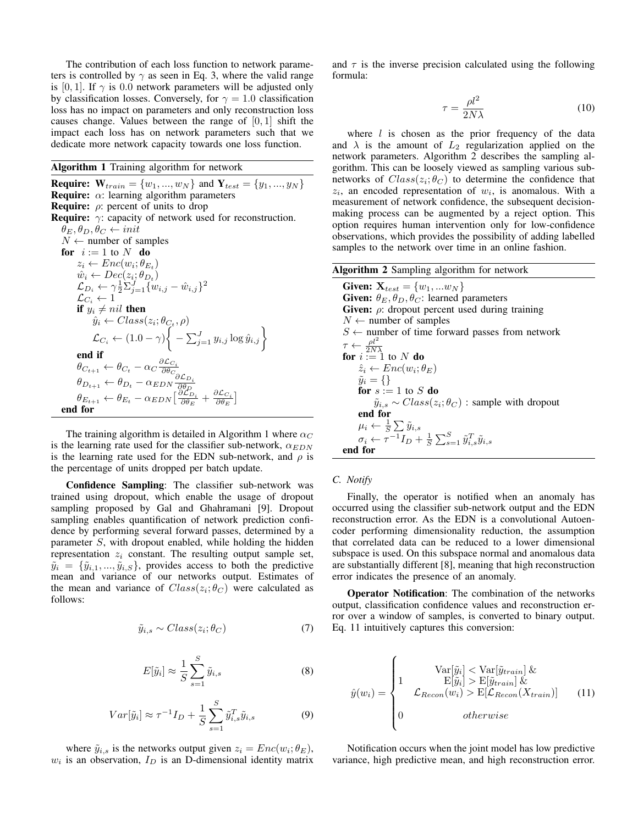The contribution of each loss function to network parameters is controlled by  $\gamma$  as seen in Eq. 3, where the valid range is [0, 1]. If  $\gamma$  is 0.0 network parameters will be adjusted only by classification losses. Conversely, for  $\gamma = 1.0$  classification loss has no impact on parameters and only reconstruction loss causes change. Values between the range of [0*,* 1] shift the impact each loss has on network parameters such that we dedicate more network capacity towards one loss function.

### Algorithm 1 Training algorithm for network

**Require:**  $W_{train} = \{w_1, ..., w_N\}$  and  $Y_{test} = \{y_1, ..., y_N\}$ **Require:**  $\alpha$ : learning algorithm parameters **Require:**  $\rho$ : percent of units to drop **Require:**  $\gamma$ : capacity of network used for reconstruction.  $\theta_E, \theta_D, \theta_C \leftarrow init$  $N \leftarrow$  number of samples for  $i := 1$  to  $N$  do  $z_i \leftarrow Enc(w_i; \theta_{E_t})$  $\hat{w}_i \leftarrow Dec(z_i; \theta_{D_t})$  $\mathcal{L}_{D_i} \leftarrow \gamma \frac{1}{2} \sum_{j=1}^J \{w_{i,j} - \hat{w}_{i,j}\}^2$  $\mathcal{L}_{C_i} \leftarrow 1$ if  $y_i \neq nil$  then  $\hat{y}_i \leftarrow Class(z_i; \theta_{C_t}, \rho)$  $\mathcal{L}_{C_i} \leftarrow (1.0 - \gamma)$  $\left\{ -\sum_{j=1}^{J} y_{i,j} \log \hat{y}_{i,j} \right\}$ end if  $\theta_{C_{t+1}} \leftarrow \theta_{C_t} - \alpha_C \frac{\partial \mathcal{L}_{C_i}}{\partial \theta_{C_i}}$  $\theta_{D_{t+1}} \leftarrow \theta_{D_t} - \alpha_{EDN} \frac{\partial \mathcal{L}_{D_i}}{\partial \theta_{D}} \newline \theta_{E_{t+1}} \leftarrow \theta_{E_t} - \alpha_{EDN} \left[ \frac{\partial \mathcal{L}_{D_i}}{\partial \theta_{E}} + \frac{\partial \mathcal{L}_{C_i}}{\partial \theta_{E}} \right]$ end for

The training algorithm is detailed in Algorithm 1 where  $\alpha_C$ is the learning rate used for the classifier sub-network,  $\alpha_{EDN}$ is the learning rate used for the EDN sub-network, and  $\rho$  is the percentage of units dropped per batch update.

Confidence Sampling: The classifier sub-network was trained using dropout, which enable the usage of dropout sampling proposed by Gal and Ghahramani [9]. Dropout sampling enables quantification of network prediction confidence by performing several forward passes, determined by a parameter *S*, with dropout enabled, while holding the hidden representation *z<sup>i</sup>* constant. The resulting output sample set,  $\tilde{y}_i = \{\tilde{y}_{i,1}, ..., \tilde{y}_{i,S}\}\$ , provides access to both the predictive mean and variance of our networks output. Estimates of the mean and variance of  $Class(z_i; \theta_C)$  were calculated as follows:

$$
\tilde{y}_{i,s} \sim Class(z_i; \theta_C) \tag{7}
$$

$$
E[\tilde{y}_i] \approx \frac{1}{S} \sum_{s=1}^{S} \tilde{y}_{i,s}
$$
 (8)

$$
Var[\tilde{y}_i] \approx \tau^{-1} I_D + \frac{1}{S} \sum_{s=1}^{S} \tilde{y}_{i,s}^T \tilde{y}_{i,s}
$$
(9)

where  $\tilde{y}_{i,s}$  is the networks output given  $z_i = Enc(w_i; \theta_E)$ ,  $w_i$  is an observation,  $I_D$  is an D-dimensional identity matrix and  $\tau$  is the inverse precision calculated using the following formula:

$$
\tau = \frac{\rho l^2}{2N\lambda} \tag{10}
$$

where *l* is chosen as the prior frequency of the data and  $\lambda$  is the amount of  $L_2$  regularization applied on the network parameters. Algorithm 2 describes the sampling algorithm. This can be loosely viewed as sampling various subnetworks of  $Class(z_i; \theta_C)$  to determine the confidence that *zi*, an encoded representation of *wi*, is anomalous. With a measurement of network confidence, the subsequent decisionmaking process can be augmented by a reject option. This option requires human intervention only for low-confidence observations, which provides the possibility of adding labelled samples to the network over time in an online fashion.

| <b>Algorithm 2</b> Sampling algorithm for network                                                |  |  |
|--------------------------------------------------------------------------------------------------|--|--|
| <b>Given:</b> $X_{test} = \{w_1,  w_N\}$                                                         |  |  |
| <b>Given:</b> $\theta_E, \theta_D, \theta_C$ : learned parameters                                |  |  |
| <b>Given:</b> $\rho$ : dropout percent used during training                                      |  |  |
| $N \leftarrow$ number of samples                                                                 |  |  |
| $S \leftarrow$ number of time forward passes from network                                        |  |  |
| $\tau \leftarrow \frac{\rho l^2}{2 N \lambda}$                                                   |  |  |
| for $i := 1$ to N do                                                                             |  |  |
| $\hat{z}_i \leftarrow Enc(w_i; \theta_E)$                                                        |  |  |
| $\tilde{y}_i = \{\}\$                                                                            |  |  |
| for $s := 1$ to S do                                                                             |  |  |
| $\tilde{y}_{i.s} \sim Class(z_i; \theta_C)$ : sample with dropout                                |  |  |
| end for                                                                                          |  |  |
| $\mu_i \leftarrow \frac{1}{S} \sum \tilde{y}_{i,s}$                                              |  |  |
| $\sigma_i \leftarrow \tau^{-1} I_D + \frac{1}{S} \sum_{s=1}^S \tilde{y}_{i,s}^T \tilde{y}_{i,s}$ |  |  |
| end for                                                                                          |  |  |

#### *C. Notify*

Finally, the operator is notified when an anomaly has occurred using the classifier sub-network output and the EDN reconstruction error. As the EDN is a convolutional Autoencoder performing dimensionality reduction, the assumption that correlated data can be reduced to a lower dimensional subspace is used. On this subspace normal and anomalous data are substantially different [8], meaning that high reconstruction error indicates the presence of an anomaly.

Operator Notification: The combination of the networks output, classification confidence values and reconstruction error over a window of samples, is converted to binary output. Eq. 11 intuitively captures this conversion:

$$
\hat{y}(w_i) = \begin{cases}\n\text{Var}[\tilde{y}_i] < \text{Var}[\tilde{y}_{train}] \& \text{E}[\tilde{y}_i] > \text{E}[\tilde{y}_{train}] \& \text{E}[\tilde{y}_i] > \text{E}[\mathcal{L}_{Ricon}(X_{train})] \\
\text{L}_{Recon}(w_i) > \text{E}[\mathcal{L}_{Recon}(X_{train})] \\
0 & \text{otherwise}\n\end{cases} \tag{11}
$$

Notification occurs when the joint model has low predictive variance, high predictive mean, and high reconstruction error.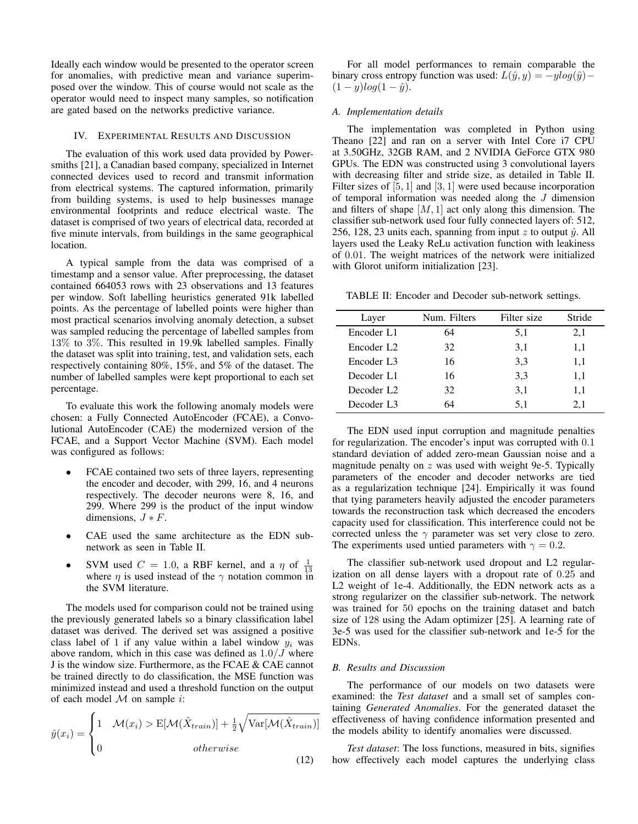Ideally each window would be presented to the operator screen for anomalies, with predictive mean and variance superimposed over the window. This of course would not scale as the operator would need to inspect many samples, so notification are gated based on the networks predictive variance.

## IV. EXPERIMENTAL RESULTS AND DISCUSSION

The evaluation of this work used data provided by Powersmiths [21], a Canadian based company, specialized in Internet connected devices used to record and transmit information from electrical systems. The captured information, primarily from building systems, is used to help businesses manage environmental footprints and reduce electrical waste. The dataset is comprised of two years of electrical data, recorded at five minute intervals, from buildings in the same geographical location.

A typical sample from the data was comprised of a timestamp and a sensor value. After preprocessing, the dataset contained 664053 rows with 23 observations and 13 features per window. Soft labelling heuristics generated 91k labelled points. As the percentage of labelled points were higher than most practical scenarios involving anomaly detection, a subset was sampled reducing the percentage of labelled samples from 13% to 3%. This resulted in 19.9k labelled samples. Finally the dataset was split into training, test, and validation sets, each respectively containing 80%, 15%, and 5% of the dataset. The number of labelled samples were kept proportional to each set percentage.

To evaluate this work the following anomaly models were chosen: a Fully Connected AutoEncoder (FCAE), a Convolutional AutoEncoder (CAE) the modernized version of the FCAE, and a Support Vector Machine (SVM). Each model was configured as follows:

- *•* FCAE contained two sets of three layers, representing the encoder and decoder, with 299, 16, and 4 neurons respectively. The decoder neurons were 8, 16, and 299. Where 299 is the product of the input window dimensions,  $J * F$ .
- CAE used the same architecture as the EDN subnetwork as seen in Table II.
- SVM used  $C = 1.0$ , a RBF kernel, and a  $\eta$  of  $\frac{1}{13}$  where  $\eta$  is used instead of the  $\gamma$  notation common in the SVM literature.

The models used for comparison could not be trained using the previously generated labels so a binary classification label dataset was derived. The derived set was assigned a positive class label of 1 if any value within a label window  $y_i$  was above random, which in this case was defined as 1*.*0*/J* where J is the window size. Furthermore, as the FCAE & CAE cannot be trained directly to do classification, the MSE function was minimized instead and used a threshold function on the output of each model *M* on sample *i*:

$$
\hat{y}(x_i) = \begin{cases}\n1 & \mathcal{M}(x_i) > \mathcal{E}[\mathcal{M}(\hat{X}_{train})] + \frac{1}{2}\sqrt{\text{Var}[\mathcal{M}(\hat{X}_{train})]} \\
0 & otherwise\n\end{cases}
$$
\n(12)

For all model performances to remain comparable the binary cross entropy function was used:  $L(\hat{y}, y) = -y\log(\hat{y}) - y\log(\hat{y})$  $(1 - y)log(1 - \hat{y}).$ 

### *A. Implementation details*

The implementation was completed in Python using Theano [22] and ran on a server with Intel Core i7 CPU at 3.50GHz, 32GB RAM, and 2 NVIDIA GeForce GTX 980 GPUs. The EDN was constructed using 3 convolutional layers with decreasing filter and stride size, as detailed in Table II. Filter sizes of [5*,* 1] and [3*,* 1] were used because incorporation of temporal information was needed along the *J* dimension and filters of shape  $[M, 1]$  act only along this dimension. The classifier sub-network used four fully connected layers of: 512, 256, 128, 23 units each, spanning from input  $z$  to output  $\hat{y}$ . All layers used the Leaky ReLu activation function with leakiness of 0*.*01. The weight matrices of the network were initialized with Glorot uniform initialization [23].

TABLE II: Encoder and Decoder sub-network settings.

| Layer                  | Num. Filters | Filter size | Stride |
|------------------------|--------------|-------------|--------|
| Encoder L1             | 64           | 5,1         | 2,1    |
| Encoder L <sub>2</sub> | 32           | 3,1         | 1,1    |
| Encoder L3             | 16           | 3.3         | 1,1    |
| Decoder L1             | 16           | 3.3         | 1,1    |
| Decoder L <sub>2</sub> | 32           | 3,1         | 1,1    |
| Decoder L3             | 64           | 5,1         | 2.1    |

The EDN used input corruption and magnitude penalties for regularization. The encoder's input was corrupted with 0*.*1 standard deviation of added zero-mean Gaussian noise and a magnitude penalty on *z* was used with weight 9e-5. Typically parameters of the encoder and decoder networks are tied as a regularization technique [24]. Empirically it was found that tying parameters heavily adjusted the encoder parameters towards the reconstruction task which decreased the encoders capacity used for classification. This interference could not be corrected unless the  $\gamma$  parameter was set very close to zero. The experiments used untied parameters with  $\gamma = 0.2$ .

The classifier sub-network used dropout and L2 regularization on all dense layers with a dropout rate of 0*.*25 and L2 weight of 1e-4. Additionally, the EDN network acts as a strong regularizer on the classifier sub-network. The network was trained for 50 epochs on the training dataset and batch size of 128 using the Adam optimizer [25]. A learning rate of 3e-5 was used for the classifier sub-network and 1e-5 for the EDNs.

## *B. Results and Discussion*

The performance of our models on two datasets were examined: the *Test dataset* and a small set of samples containing *Generated Anomalies*. For the generated dataset the effectiveness of having confidence information presented and the models ability to identify anomalies were discussed.

*Test dataset*: The loss functions, measured in bits, signifies how effectively each model captures the underlying class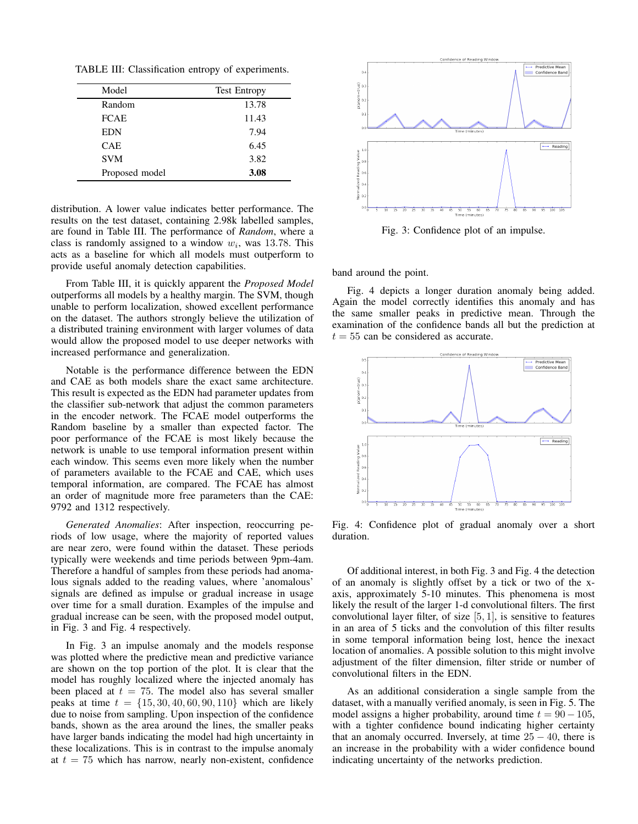TABLE III: Classification entropy of experiments.

| Model          | <b>Test Entropy</b> |
|----------------|---------------------|
| Random         | 13.78               |
| <b>FCAE</b>    | 11.43               |
| <b>EDN</b>     | 7.94                |
| <b>CAE</b>     | 6.45                |
| <b>SVM</b>     | 3.82                |
| Proposed model | 3.08                |

distribution. A lower value indicates better performance. The results on the test dataset, containing 2.98k labelled samples, are found in Table III. The performance of *Random*, where a class is randomly assigned to a window  $w_i$ , was 13.78. This acts as a baseline for which all models must outperform to provide useful anomaly detection capabilities.

From Table III, it is quickly apparent the *Proposed Model* outperforms all models by a healthy margin. The SVM, though unable to perform localization, showed excellent performance on the dataset. The authors strongly believe the utilization of a distributed training environment with larger volumes of data would allow the proposed model to use deeper networks with increased performance and generalization.

Notable is the performance difference between the EDN and CAE as both models share the exact same architecture. This result is expected as the EDN had parameter updates from the classifier sub-network that adjust the common parameters in the encoder network. The FCAE model outperforms the Random baseline by a smaller than expected factor. The poor performance of the FCAE is most likely because the network is unable to use temporal information present within each window. This seems even more likely when the number of parameters available to the FCAE and CAE, which uses temporal information, are compared. The FCAE has almost an order of magnitude more free parameters than the CAE: 9792 and 1312 respectively.

*Generated Anomalies*: After inspection, reoccurring periods of low usage, where the majority of reported values are near zero, were found within the dataset. These periods typically were weekends and time periods between 9pm-4am. Therefore a handful of samples from these periods had anomalous signals added to the reading values, where 'anomalous' signals are defined as impulse or gradual increase in usage over time for a small duration. Examples of the impulse and gradual increase can be seen, with the proposed model output, in Fig. 3 and Fig. 4 respectively.

In Fig. 3 an impulse anomaly and the models response was plotted where the predictive mean and predictive variance are shown on the top portion of the plot. It is clear that the model has roughly localized where the injected anomaly has been placed at  $t = 75$ . The model also has several smaller peaks at time  $t = \{15, 30, 40, 60, 90, 110\}$  which are likely due to noise from sampling. Upon inspection of the confidence bands, shown as the area around the lines, the smaller peaks have larger bands indicating the model had high uncertainty in these localizations. This is in contrast to the impulse anomaly at  $t = 75$  which has narrow, nearly non-existent, confidence



Fig. 3: Confidence plot of an impulse.

band around the point.

Fig. 4 depicts a longer duration anomaly being added. Again the model correctly identifies this anomaly and has the same smaller peaks in predictive mean. Through the examination of the confidence bands all but the prediction at  $t = 55$  can be considered as accurate.



Fig. 4: Confidence plot of gradual anomaly over a short duration.

Of additional interest, in both Fig. 3 and Fig. 4 the detection of an anomaly is slightly offset by a tick or two of the xaxis, approximately 5-10 minutes. This phenomena is most likely the result of the larger 1-d convolutional filters. The first convolutional layer filter, of size [5*,* 1], is sensitive to features in an area of 5 ticks and the convolution of this filter results in some temporal information being lost, hence the inexact location of anomalies. A possible solution to this might involve adjustment of the filter dimension, filter stride or number of convolutional filters in the EDN.

As an additional consideration a single sample from the dataset, with a manually verified anomaly, is seen in Fig. 5. The model assigns a higher probability, around time  $t = 90 - 105$ , with a tighter confidence bound indicating higher certainty that an anomaly occurred. Inversely, at time  $25 - 40$ , there is an increase in the probability with a wider confidence bound indicating uncertainty of the networks prediction.